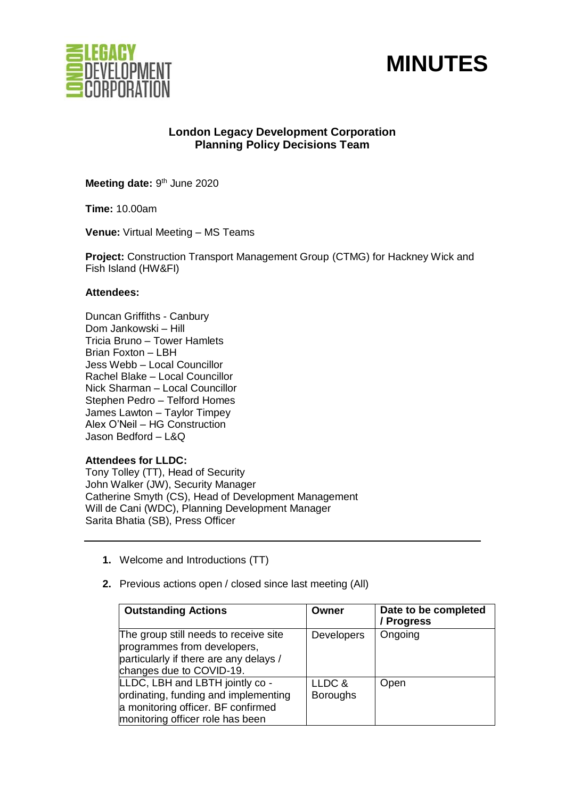



# **London Legacy Development Corporation Planning Policy Decisions Team**

Meeting date: 9<sup>th</sup> June 2020

**Time:** 10.00am

**Venue:** Virtual Meeting – MS Teams

**Project:** Construction Transport Management Group (CTMG) for Hackney Wick and Fish Island (HW&FI)

### **Attendees:**

Duncan Griffiths - Canbury Dom Jankowski – Hill Tricia Bruno – Tower Hamlets Brian Foxton – LBH Jess Webb – Local Councillor Rachel Blake – Local Councillor Nick Sharman – Local Councillor Stephen Pedro – Telford Homes James Lawton – Taylor Timpey Alex O'Neil – HG Construction Jason Bedford – L&Q

# **Attendees for LLDC:**

Tony Tolley (TT), Head of Security John Walker (JW), Security Manager Catherine Smyth (CS), Head of Development Management Will de Cani (WDC), Planning Development Manager Sarita Bhatia (SB), Press Officer

- **1.** Welcome and Introductions (TT)
- **2.** Previous actions open / closed since last meeting (All)

| <b>Outstanding Actions</b>                                                                                                                        | Owner                     | Date to be completed<br>/ Progress |
|---------------------------------------------------------------------------------------------------------------------------------------------------|---------------------------|------------------------------------|
| The group still needs to receive site<br>programmes from developers,<br>particularly if there are any delays /<br>changes due to COVID-19.        | <b>Developers</b>         | Ongoing                            |
| LLDC, LBH and LBTH jointly co -<br>ordinating, funding and implementing<br>a monitoring officer. BF confirmed<br>monitoring officer role has been | LLDC &<br><b>Boroughs</b> | Open                               |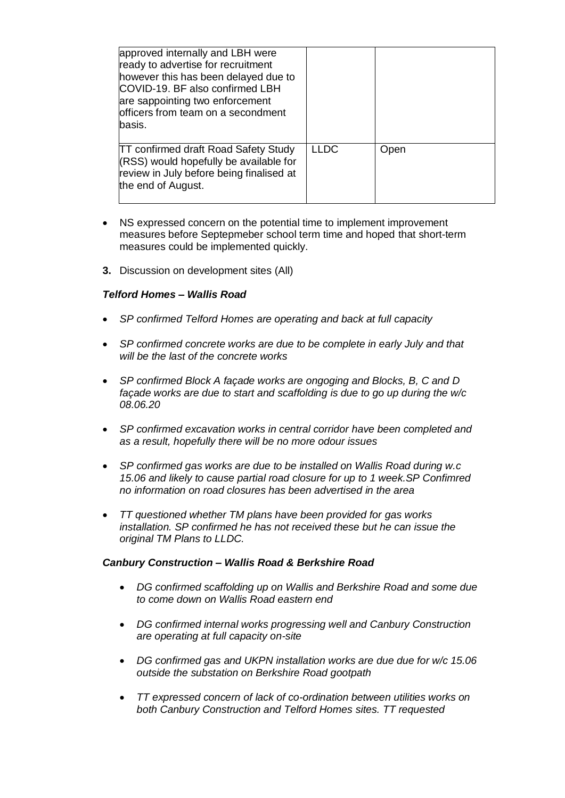| approved internally and LBH were<br>ready to advertise for recruitment<br>however this has been delayed due to<br>COVID-19. BF also confirmed LBH<br>are sappointing two enforcement<br>officers from team on a secondment<br>basis. |             |      |
|--------------------------------------------------------------------------------------------------------------------------------------------------------------------------------------------------------------------------------------|-------------|------|
| <b>TT confirmed draft Road Safety Study</b><br>(RSS) would hopefully be available for<br>review in July before being finalised at<br>the end of August.                                                                              | <b>LLDC</b> | Open |

- NS expressed concern on the potential time to implement improvement measures before Septepmeber school term time and hoped that short-term measures could be implemented quickly.
- **3.** Discussion on development sites (All)

# *Telford Homes – Wallis Road*

- *SP confirmed Telford Homes are operating and back at full capacity*
- *SP confirmed concrete works are due to be complete in early July and that will be the last of the concrete works*
- *SP confirmed Block A façade works are ongoging and Blocks, B, C and D façade works are due to start and scaffolding is due to go up during the w/c 08.06.20*
- *SP confirmed excavation works in central corridor have been completed and as a result, hopefully there will be no more odour issues*
- *SP confirmed gas works are due to be installed on Wallis Road during w.c 15.06 and likely to cause partial road closure for up to 1 week.SP Confimred no information on road closures has been advertised in the area*
- *TT questioned whether TM plans have been provided for gas works installation. SP confirmed he has not received these but he can issue the original TM Plans to LLDC.*

#### *Canbury Construction – Wallis Road & Berkshire Road*

- *DG confirmed scaffolding up on Wallis and Berkshire Road and some due to come down on Wallis Road eastern end*
- *DG confirmed internal works progressing well and Canbury Construction are operating at full capacity on-site*
- *DG confirmed gas and UKPN installation works are due due for w/c 15.06 outside the substation on Berkshire Road gootpath*
- *TT expressed concern of lack of co-ordination between utilities works on both Canbury Construction and Telford Homes sites. TT requested*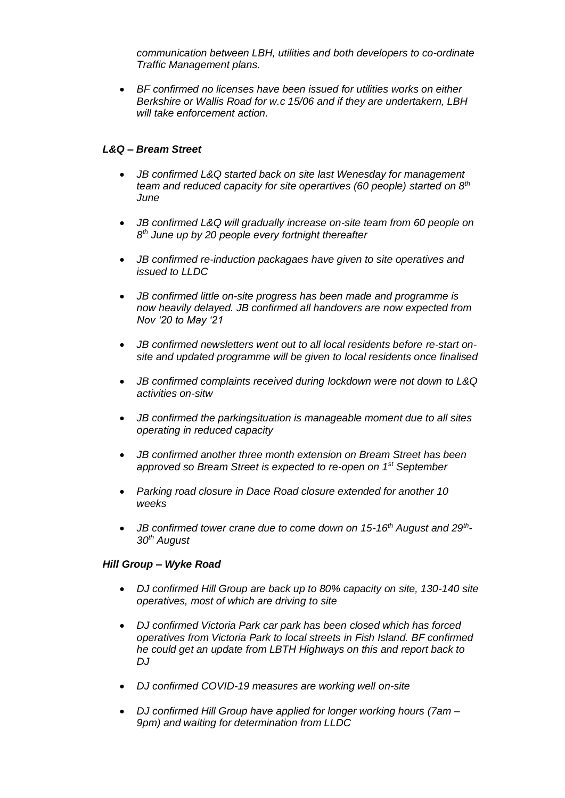*communication between LBH, utilities and both developers to co-ordinate Traffic Management plans.*

• *BF confirmed no licenses have been issued for utilities works on either Berkshire or Wallis Road for w.c 15/06 and if they are undertakern, LBH will take enforcement action.* 

# *L&Q – Bream Street*

- *JB confirmed L&Q started back on site last Wenesday for management team and reduced capacity for site operartives (60 people) started on 8th June*
- *JB confirmed L&Q will gradually increase on-site team from 60 people on 8 th June up by 20 people every fortnight thereafter*
- *JB confirmed re-induction packagaes have given to site operatives and issued to LLDC*
- *JB confirmed little on-site progress has been made and programme is now heavily delayed. JB confirmed all handovers are now expected from Nov '20 to May '21*
- *JB confirmed newsletters went out to all local residents before re-start onsite and updated programme will be given to local residents once finalised*
- *JB confirmed complaints received during lockdown were not down to L&Q activities on-sitw*
- *JB confirmed the parkingsituation is manageable moment due to all sites operating in reduced capacity*
- *JB confirmed another three month extension on Bream Street has been approved so Bream Street is expected to re-open on 1st September*
- *Parking road closure in Dace Road closure extended for another 10 weeks*
- *JB confirmed tower crane due to come down on 15-16th August and 29th - 30th August*

# *Hill Group – Wyke Road*

- *DJ confirmed Hill Group are back up to 80% capacity on site, 130-140 site operatives, most of which are driving to site*
- *DJ confirmed Victoria Park car park has been closed which has forced operatives from Victoria Park to local streets in Fish Island. BF confirmed he could get an update from LBTH Highways on this and report back to DJ*
- *DJ confirmed COVID-19 measures are working well on-site*
- *DJ confirmed Hill Group have applied for longer working hours (7am – 9pm) and waiting for determination from LLDC*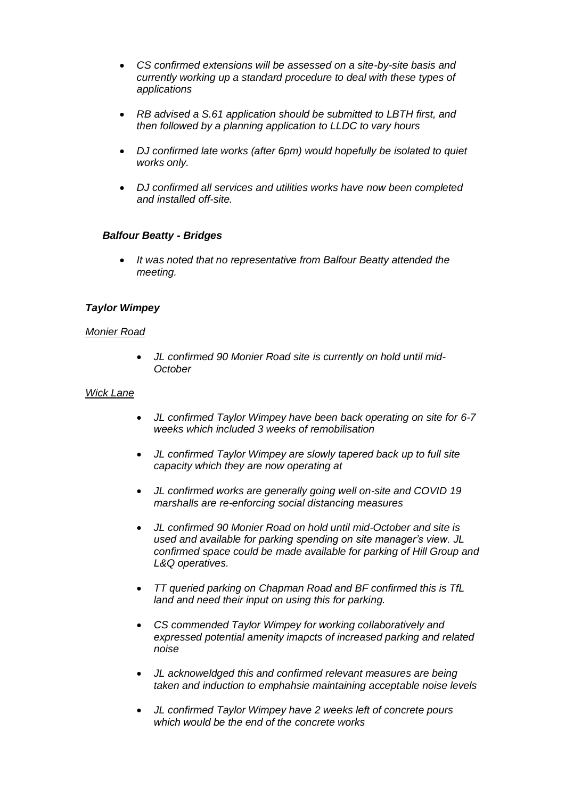- *CS confirmed extensions will be assessed on a site-by-site basis and currently working up a standard procedure to deal with these types of applications*
- *RB advised a S.61 application should be submitted to LBTH first, and then followed by a planning application to LLDC to vary hours*
- *DJ confirmed late works (after 6pm) would hopefully be isolated to quiet works only.*
- *DJ confirmed all services and utilities works have now been completed and installed off-site.*

### *Balfour Beatty - Bridges*

• *It was noted that no representative from Balfour Beatty attended the meeting.* 

### *Taylor Wimpey*

#### *Monier Road*

• *JL confirmed 90 Monier Road site is currently on hold until mid-October* 

#### *Wick Lane*

- *JL confirmed Taylor Wimpey have been back operating on site for 6-7 weeks which included 3 weeks of remobilisation*
- *JL confirmed Taylor Wimpey are slowly tapered back up to full site capacity which they are now operating at*
- *JL confirmed works are generally going well on-site and COVID 19 marshalls are re-enforcing social distancing measures*
- *JL confirmed 90 Monier Road on hold until mid-October and site is used and available for parking spending on site manager's view. JL confirmed space could be made available for parking of Hill Group and L&Q operatives.*
- *TT queried parking on Chapman Road and BF confirmed this is TfL land and need their input on using this for parking.*
- *CS commended Taylor Wimpey for working collaboratively and expressed potential amenity imapcts of increased parking and related noise*
- *JL acknoweldged this and confirmed relevant measures are being taken and induction to emphahsie maintaining acceptable noise levels*
- *JL confirmed Taylor Wimpey have 2 weeks left of concrete pours which would be the end of the concrete works*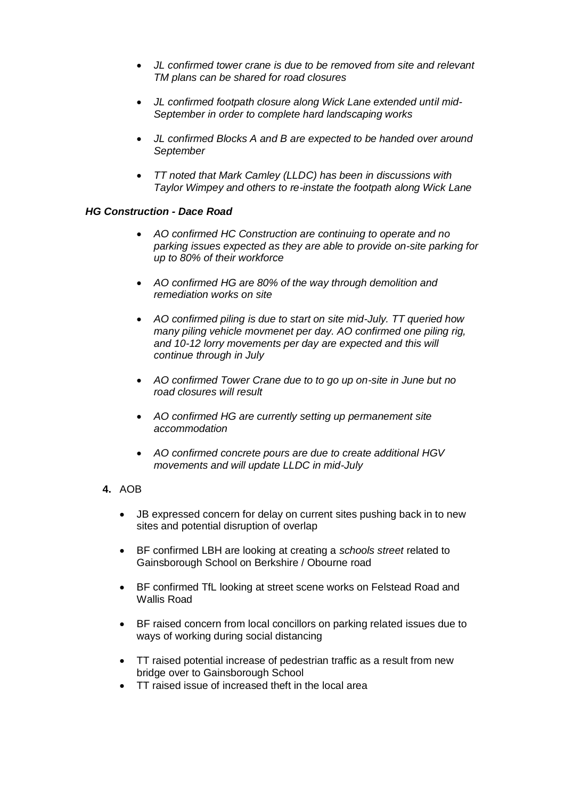- *JL confirmed tower crane is due to be removed from site and relevant TM plans can be shared for road closures*
- *JL confirmed footpath closure along Wick Lane extended until mid-September in order to complete hard landscaping works*
- *JL confirmed Blocks A and B are expected to be handed over around September*
- *TT noted that Mark Camley (LLDC) has been in discussions with Taylor Wimpey and others to re-instate the footpath along Wick Lane*

### *HG Construction - Dace Road*

- *AO confirmed HC Construction are continuing to operate and no parking issues expected as they are able to provide on-site parking for up to 80% of their workforce*
- *AO confirmed HG are 80% of the way through demolition and remediation works on site*
- *AO confirmed piling is due to start on site mid-July. TT queried how many piling vehicle movmenet per day. AO confirmed one piling rig, and 10-12 lorry movements per day are expected and this will continue through in July*
- *AO confirmed Tower Crane due to to go up on-site in June but no road closures will result*
- *AO confirmed HG are currently setting up permanement site accommodation*
- *AO confirmed concrete pours are due to create additional HGV movements and will update LLDC in mid-July*
- **4.** AOB
	- JB expressed concern for delay on current sites pushing back in to new sites and potential disruption of overlap
	- BF confirmed LBH are looking at creating a *schools street* related to Gainsborough School on Berkshire / Obourne road
	- BF confirmed TfL looking at street scene works on Felstead Road and Wallis Road
	- BF raised concern from local concillors on parking related issues due to ways of working during social distancing
	- TT raised potential increase of pedestrian traffic as a result from new bridge over to Gainsborough School
	- TT raised issue of increased theft in the local area